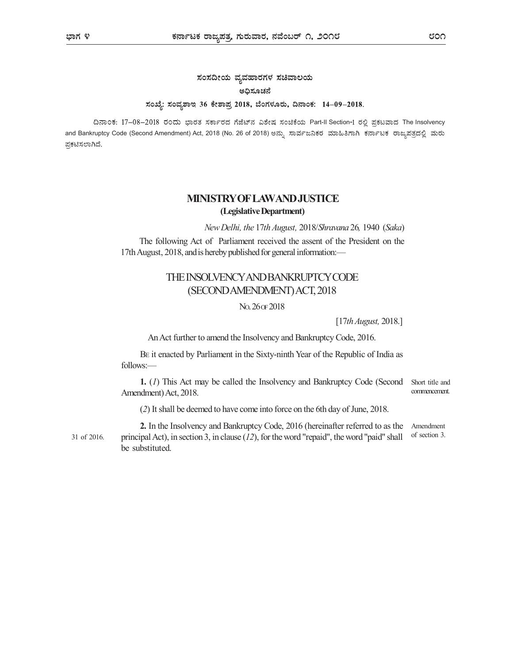# ಸಂಸದೀಯ ವ್ಯವಹಾರಗಳ ಸಚಿವಾಲಯ ಅಧಿಸೂಚನೆ ಸಂಖ್ಯೆ: ಸಂವ್ಯಶಾಇ 36 ಕೇಶಾಪ್ರ 2018, ಬೆಂಗಳೂರು, ದಿನಾಂಕ: 14-09-2018.

ದಿನಾಂಕ: 17-08-2018 ರಂದು ಭಾರತ ಸರ್ಕಾರದ ಗೆಜೆಟ್ನ ವಿಶೇಷ ಸಂಚಿಕೆಯ Part-II Section-I ರಲ್ಲಿ ಪ್ರಕಟವಾದ The Insolvency and Bankruptcy Code (Second Amendment) Act, 2018 (No. 26 of 2018) ಅನ್ನು ಸಾರ್ವಜನಿಕರ ಮಾಹಿತಿಗಾಗಿ ಕರ್ನಾಟಕ ರಾಜ್ಯಪತ್ರದಲ್ಲಿ ಮರು ಪ್ರಕಟಿಸಲಾಗಿದೆ.

## MINISTRY OF LAWAND JUSTICE (Legislative Department)

New Delhi, the 17th August, 2018/Shravana 26, 1940 (Saka)

The following Act of Parliament received the assent of the President on the 17th August, 2018, and is hereby published for general information:—

## THE INSOLVENCY AND BANKRUPTCY CODE (SECOND AMENDMENT) ACT, 2018

NO. 26 OF 2018

[17th August, 2018.]

An Act further to amend the Insolvency and Bankruptcy Code, 2016.

BE it enacted by Parliament in the Sixty-ninth Year of the Republic of India as follows:—

1. (1) This Act may be called the Insolvency and Bankruptcy Code (Second Amendment) Act, 2018. Short title and commencement.

(2) It shall be deemed to have come into force on the 6th day of June, 2018.

2. In the Insolvency and Bankruptcy Code, 2016 (hereinafter referred to as the 31 of 2016. principal Act), in section 3, in clause  $(12)$ , for the word "repaid", the word "paid" shall of section 3. be substituted. Amendment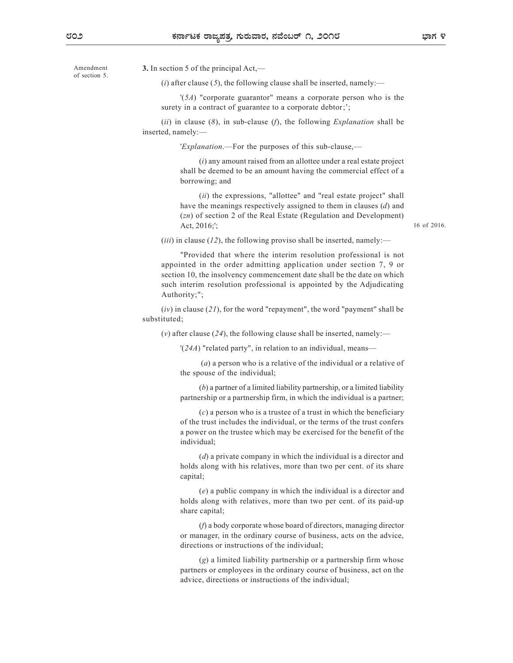of section 5.

Amendment 3. In section 5 of the principal Act,—

(*i*) after clause (5), the following clause shall be inserted, namely:—

'(5A) "corporate guarantor" means a corporate person who is the surety in a contract of guarantee to a corporate debtor;';

(ii) in clause  $(8)$ , in sub-clause  $(f)$ , the following *Explanation* shall be inserted, namely:—

'Explanation.—For the purposes of this sub-clause,—

(i) any amount raised from an allottee under a real estate project shall be deemed to be an amount having the commercial effect of a borrowing; and

(*ii*) the expressions, "allottee" and "real estate project" shall have the meanings respectively assigned to them in clauses (d) and (zn) of section 2 of the Real Estate (Regulation and Development) Act, 2016;';

16 of 2016.

(*iii*) in clause (12), the following proviso shall be inserted, namely:—

"Provided that where the interim resolution professional is not appointed in the order admitting application under section 7, 9 or section 10, the insolvency commencement date shall be the date on which such interim resolution professional is appointed by the Adjudicating Authority;";

 $(iv)$  in clause  $(21)$ , for the word "repayment", the word "payment" shall be substituted;

(v) after clause (24), the following clause shall be inserted, namely:—

'(24A) "related party", in relation to an individual, means—

 (a) a person who is a relative of the individual or a relative of the spouse of the individual;

(b) a partner of a limited liability partnership, or a limited liability partnership or a partnership firm, in which the individual is a partner;

 $(c)$  a person who is a trustee of a trust in which the beneficiary of the trust includes the individual, or the terms of the trust confers a power on the trustee which may be exercised for the benefit of the individual;

(d) a private company in which the individual is a director and holds along with his relatives, more than two per cent. of its share capital;

(e) a public company in which the individual is a director and holds along with relatives, more than two per cent. of its paid-up share capital;

(f) a body corporate whose board of directors, managing director or manager, in the ordinary course of business, acts on the advice, directions or instructions of the individual;

(g) a limited liability partnership or a partnership firm whose partners or employees in the ordinary course of business, act on the advice, directions or instructions of the individual;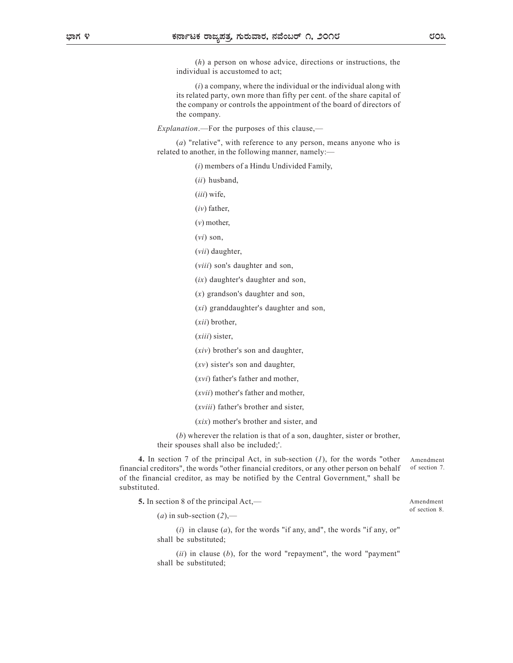(h) a person on whose advice, directions or instructions, the individual is accustomed to act;

 $(i)$  a company, where the individual or the individual along with its related party, own more than fifty per cent. of the share capital of the company or controls the appointment of the board of directors of the company.

Explanation.—For the purposes of this clause,—

(a) "relative", with reference to any person, means anyone who is related to another, in the following manner, namely:—

(i) members of a Hindu Undivided Family,

(ii) husband,

(iii) wife,

 $(iv)$  father,

 $(v)$  mother,

 $(vi)$  son,

(vii) daughter,

(viii) son's daughter and son,

(ix) daughter's daughter and son,

(x) grandson's daughter and son,

(xi) granddaughter's daughter and son,

(xii) brother,

(xiii) sister,

(xiv) brother's son and daughter,

(xv) sister's son and daughter,

(xvi) father's father and mother,

(xvii) mother's father and mother,

(xviii) father's brother and sister,

(xix) mother's brother and sister, and

(b) wherever the relation is that of a son, daughter, sister or brother, their spouses shall also be included;'.

4. In section 7 of the principal Act, in sub-section  $(1)$ , for the words "other financial creditors", the words "other financial creditors, or any other person on behalf of the financial creditor, as may be notified by the Central Government," shall be substituted. Amendment of section 7.

5. In section 8 of the principal Act,—

(a) in sub-section  $(2)$ ,—

(i) in clause (a), for the words "if any, and", the words "if any, or" shall be substituted;

 $(ii)$  in clause  $(b)$ , for the word "repayment", the word "payment" shall be substituted;

Amendment of section 8.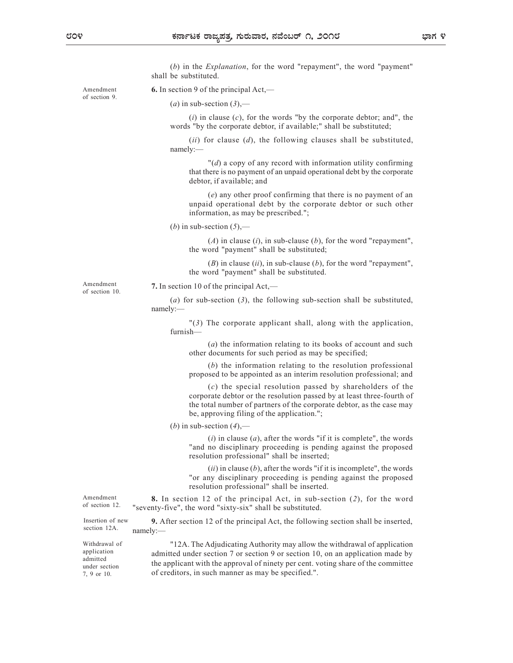(b) in the Explanation, for the word "repayment", the word "payment" shall be substituted.

Amendment  $\bullet$ . In section 9 of the principal Act,—

(a) in sub-section  $(3)$ ,—

(i) in clause  $(c)$ , for the words "by the corporate debtor; and", the words "by the corporate debtor, if available;" shall be substituted;

(ii) for clause  $(d)$ , the following clauses shall be substituted, namely:—

 $\mathcal{H}(d)$  a copy of any record with information utility confirming that there is no payment of an unpaid operational debt by the corporate debtor, if available; and

(e) any other proof confirming that there is no payment of an unpaid operational debt by the corporate debtor or such other information, as may be prescribed.";

(b) in sub-section  $(5)$ ,—

 $(A)$  in clause (i), in sub-clause (b), for the word "repayment", the word "payment" shall be substituted;

 $(B)$  in clause  $(ii)$ , in sub-clause  $(b)$ , for the word "repayment", the word "payment" shall be substituted.

of section 10.

Amendment 7. In section 10 of the principal Act,—

(a) for sub-section  $(3)$ , the following sub-section shall be substituted, namely:—

"(3) The corporate applicant shall, along with the application, furnish—

(a) the information relating to its books of account and such other documents for such period as may be specified;

(b) the information relating to the resolution professional proposed to be appointed as an interim resolution professional; and

 $(c)$  the special resolution passed by shareholders of the corporate debtor or the resolution passed by at least three-fourth of the total number of partners of the corporate debtor, as the case may be, approving filing of the application.";

(b) in sub-section  $(4)$ ,—

 $(i)$  in clause  $(a)$ , after the words "if it is complete", the words "and no disciplinary proceeding is pending against the proposed resolution professional" shall be inserted;

 $(ii)$  in clause  $(b)$ , after the words "if it is incomplete", the words "or any disciplinary proceeding is pending against the proposed resolution professional" shall be inserted.

Amendment 8. In section 12 of the principal Act, in sub-section (2), for the word of section 12. "seventy-five", the word "sixty-six" shall be substituted.

section 12A. namely:-

7, 9 or 10.

Insertion of new 9. After section 12 of the principal Act, the following section shall be inserted, namely:—

Withdrawal of Table 12A. The Adjudicating Authority may allow the withdrawal of application application admitted under section 7 or section 9 or section 10, on an application made by admitted<br>the applicant with the approval of ninety per cent. voting share of the committee of creditors, in such manner as may be specified.". under section the applicant with the apploval

of section 9.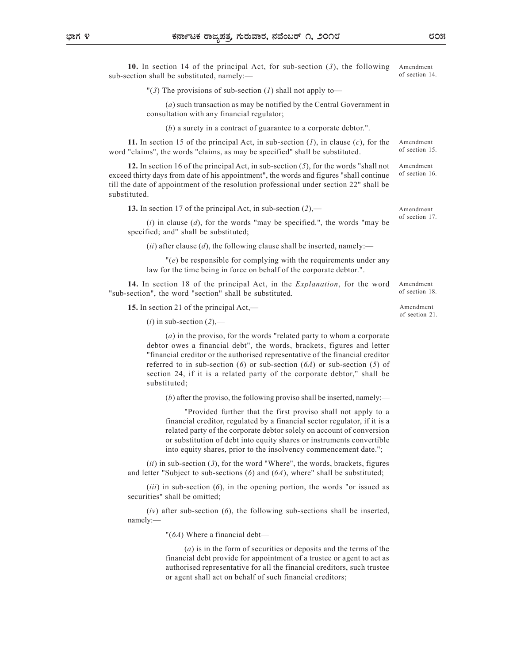10. In section 14 of the principal Act, for sub-section (3), the following sub-section shall be substituted, namely:— Amendment of section 14.

"(3) The provisions of sub-section (1) shall not apply to—

(a) such transaction as may be notified by the Central Government in consultation with any financial regulator;

(b) a surety in a contract of guarantee to a corporate debtor.".

11. In section 15 of the principal Act, in sub-section  $(l)$ , in clause  $(c)$ , for the word "claims", the words "claims, as may be specified" shall be substituted. Amendment of section 15.

12. In section 16 of the principal Act, in sub-section  $(5)$ , for the words "shall not exceed thirty days from date of his appointment", the words and figures "shall continue till the date of appointment of the resolution professional under section 22" shall be substituted. Amendment of section 16.

13. In section 17 of the principal Act, in sub-section  $(2)$ ,— Amendment

 $(i)$  in clause  $(d)$ , for the words "may be specified.", the words "may be specified; and" shall be substituted;

(*ii*) after clause (*d*), the following clause shall be inserted, namely:—

 $\theta$  be responsible for complying with the requirements under any law for the time being in force on behalf of the corporate debtor.".

14. In section 18 of the principal Act, in the Explanation, for the word "sub-section", the word "section" shall be substituted.

15. In section 21 of the principal Act,—

 $(i)$  in sub-section  $(2)$ ,—

(a) in the proviso, for the words "related party to whom a corporate debtor owes a financial debt", the words, brackets, figures and letter "financial creditor or the authorised representative of the financial creditor referred to in sub-section (6) or sub-section (6A) or sub-section (5) of section 24, if it is a related party of the corporate debtor," shall be substituted;

 $(b)$  after the proviso, the following proviso shall be inserted, namely:—

"Provided further that the first proviso shall not apply to a financial creditor, regulated by a financial sector regulator, if it is a related party of the corporate debtor solely on account of conversion or substitution of debt into equity shares or instruments convertible into equity shares, prior to the insolvency commencement date.";

 $(ii)$  in sub-section (3), for the word "Where", the words, brackets, figures and letter "Subject to sub-sections  $(6)$  and  $(6A)$ , where" shall be substituted;

 $(iii)$  in sub-section  $(6)$ , in the opening portion, the words "or issued as securities" shall be omitted;

 $(iv)$  after sub-section  $(6)$ , the following sub-sections shall be inserted, namely:—

"(6A) Where a financial debt—

(a) is in the form of securities or deposits and the terms of the financial debt provide for appointment of a trustee or agent to act as authorised representative for all the financial creditors, such trustee or agent shall act on behalf of such financial creditors;

of section 18. Amendment

Amendment

of section 17.

of section 21.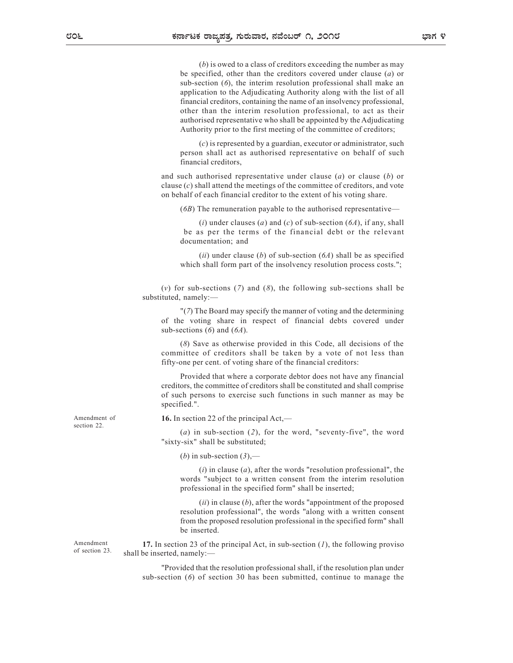(b) is owed to a class of creditors exceeding the number as may be specified, other than the creditors covered under clause (a) or sub-section (6), the interim resolution professional shall make an application to the Adjudicating Authority along with the list of all financial creditors, containing the name of an insolvency professional, other than the interim resolution professional, to act as their authorised representative who shall be appointed by the Adjudicating Authority prior to the first meeting of the committee of creditors;

(c) is represented by a guardian, executor or administrator, such person shall act as authorised representative on behalf of such financial creditors,

and such authorised representative under clause  $(a)$  or clause  $(b)$  or clause  $(c)$  shall attend the meetings of the committee of creditors, and vote on behalf of each financial creditor to the extent of his voting share.

(6B) The remuneration payable to the authorised representative—

(i) under clauses (a) and (c) of sub-section  $(6A)$ , if any, shall be as per the terms of the financial debt or the relevant documentation; and

(*ii*) under clause (*b*) of sub-section ( $6A$ ) shall be as specified which shall form part of the insolvency resolution process costs.";

(v) for sub-sections (7) and (8), the following sub-sections shall be substituted, namely:—

"(7) The Board may specify the manner of voting and the determining of the voting share in respect of financial debts covered under sub-sections  $(6)$  and  $(6A)$ .

(8) Save as otherwise provided in this Code, all decisions of the committee of creditors shall be taken by a vote of not less than fifty-one per cent. of voting share of the financial creditors:

Provided that where a corporate debtor does not have any financial creditors, the committee of creditors shall be constituted and shall comprise of such persons to exercise such functions in such manner as may be specified.".

Amendment of  $16$ . In section 22 of the principal Act,—

(a) in sub-section  $(2)$ , for the word, "seventy-five", the word "sixty-six" shall be substituted;

(b) in sub-section  $(3)$ ,—

 $(i)$  in clause  $(a)$ , after the words "resolution professional", the words "subject to a written consent from the interim resolution professional in the specified form" shall be inserted;

 $(ii)$  in clause  $(b)$ , after the words "appointment of the proposed resolution professional", the words "along with a written consent from the proposed resolution professional in the specified form" shall be inserted.

Amendment **17.** In section 23 of the principal Act, in sub-section  $(I)$ , the following proviso shall be inserted, namely:—

> "Provided that the resolution professional shall, if the resolution plan under sub-section  $(6)$  of section 30 has been submitted, continue to manage the

section 22.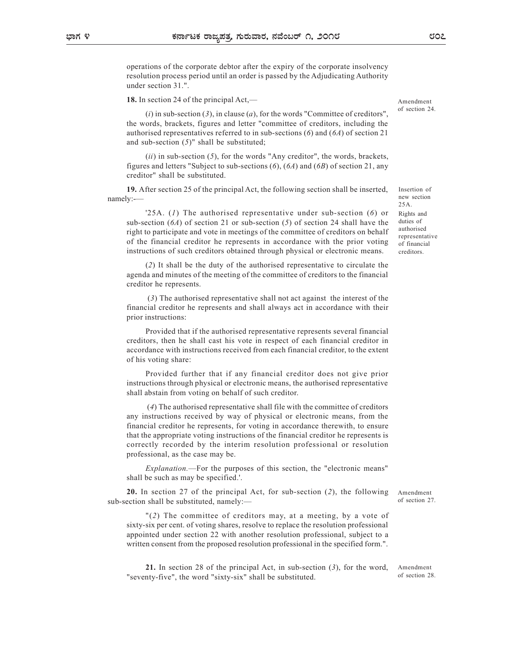operations of the corporate debtor after the expiry of the corporate insolvency resolution process period until an order is passed by the Adjudicating Authority under section 31.".

18. In section 24 of the principal Act,—

 $(i)$  in sub-section (3), in clause (a), for the words "Committee of creditors", the words, brackets, figures and letter "committee of creditors, including the authorised representatives referred to in sub-sections  $(6)$  and  $(6A)$  of section 21 and sub-section  $(5)$ " shall be substituted;

(ii) in sub-section  $(5)$ , for the words "Any creditor", the words, brackets, figures and letters "Subject to sub-sections  $(6)$ ,  $(6A)$  and  $(6B)$  of section 21, any creditor" shall be substituted.

19. After section 25 of the principal Act, the following section shall be inserted, namely:-—

'25A. (1) The authorised representative under sub-section (6) or sub-section  $(6A)$  of section 21 or sub-section (5) of section 24 shall have the right to participate and vote in meetings of the committee of creditors on behalf of the financial creditor he represents in accordance with the prior voting instructions of such creditors obtained through physical or electronic means.

(2) It shall be the duty of the authorised representative to circulate the agenda and minutes of the meeting of the committee of creditors to the financial creditor he represents.

 (3) The authorised representative shall not act against the interest of the financial creditor he represents and shall always act in accordance with their prior instructions:

Provided that if the authorised representative represents several financial creditors, then he shall cast his vote in respect of each financial creditor in accordance with instructions received from each financial creditor, to the extent of his voting share:

Provided further that if any financial creditor does not give prior instructions through physical or electronic means, the authorised representative shall abstain from voting on behalf of such creditor.

 (4) The authorised representative shall file with the committee of creditors any instructions received by way of physical or electronic means, from the financial creditor he represents, for voting in accordance therewith, to ensure that the appropriate voting instructions of the financial creditor he represents is correctly recorded by the interim resolution professional or resolution professional, as the case may be.

Explanation.—For the purposes of this section, the "electronic means" shall be such as may be specified.'.

20. In section 27 of the principal Act, for sub-section (2), the following sub-section shall be substituted, namely:—

"(2) The committee of creditors may, at a meeting, by a vote of sixty-six per cent. of voting shares, resolve to replace the resolution professional appointed under section 22 with another resolution professional, subject to a written consent from the proposed resolution professional in the specified form.".

21. In section 28 of the principal Act, in sub-section (3), for the word, "seventy-five", the word "sixty-six" shall be substituted.

Amendment of section 28.

Amendment of section 27.

Insertion of new section 25A. Rights and duties of authorised representative of financial creditors.

Amendment of section 24.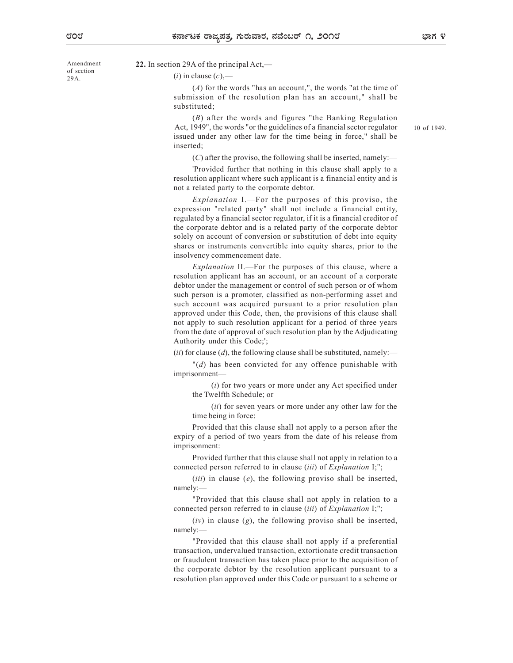of section 29A.

### Amendment 22. In section 29A of the principal  $Act$ ,  $-$

 $(i)$  in clause  $(c)$ ,—

(A) for the words "has an account,", the words "at the time of submission of the resolution plan has an account," shall be substituted;

(B) after the words and figures "the Banking Regulation Act, 1949", the words "or the guidelines of a financial sector regulator issued under any other law for the time being in force," shall be inserted;

10 of 1949.

 $(C)$  after the proviso, the following shall be inserted, namely:—

'Provided further that nothing in this clause shall apply to a resolution applicant where such applicant is a financial entity and is not a related party to the corporate debtor.

Explanation I.—For the purposes of this proviso, the expression "related party" shall not include a financial entity, regulated by a financial sector regulator, if it is a financial creditor of the corporate debtor and is a related party of the corporate debtor solely on account of conversion or substitution of debt into equity shares or instruments convertible into equity shares, prior to the insolvency commencement date.

Explanation II.—For the purposes of this clause, where a resolution applicant has an account, or an account of a corporate debtor under the management or control of such person or of whom such person is a promoter, classified as non-performing asset and such account was acquired pursuant to a prior resolution plan approved under this Code, then, the provisions of this clause shall not apply to such resolution applicant for a period of three years from the date of approval of such resolution plan by the Adjudicating Authority under this Code;';

(ii) for clause (d), the following clause shall be substituted, namely:—

 $\mathcal{H}(d)$  has been convicted for any offence punishable with imprisonment—

(i) for two years or more under any Act specified under the Twelfth Schedule; or

(*ii*) for seven years or more under any other law for the time being in force:

Provided that this clause shall not apply to a person after the expiry of a period of two years from the date of his release from imprisonment:

Provided further that this clause shall not apply in relation to a connected person referred to in clause *(iii)* of *Explanation* I;";

 $(iii)$  in clause  $(e)$ , the following proviso shall be inserted, namely:—

"Provided that this clause shall not apply in relation to a connected person referred to in clause (iii) of Explanation I;";

 $(iv)$  in clause  $(g)$ , the following proviso shall be inserted, namely:—

"Provided that this clause shall not apply if a preferential transaction, undervalued transaction, extortionate credit transaction or fraudulent transaction has taken place prior to the acquisition of the corporate debtor by the resolution applicant pursuant to a resolution plan approved under this Code or pursuant to a scheme or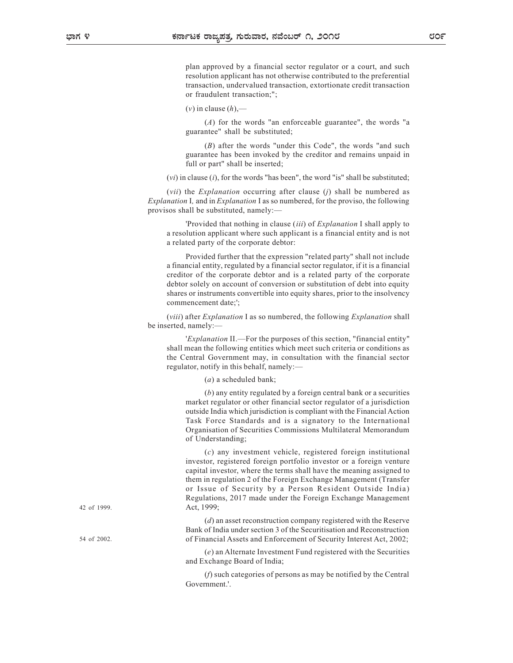plan approved by a financial sector regulator or a court, and such resolution applicant has not otherwise contributed to the preferential transaction, undervalued transaction, extortionate credit transaction or fraudulent transaction;";

 $(v)$  in clause  $(h)$ ,—

(A) for the words "an enforceable guarantee", the words "a guarantee" shall be substituted;

(B) after the words "under this Code", the words "and such guarantee has been invoked by the creditor and remains unpaid in full or part" shall be inserted;

 $(vi)$  in clause  $(i)$ , for the words "has been", the word "is" shall be substituted;

(*vii*) the *Explanation* occurring after clause (*j*) shall be numbered as Explanation I, and in Explanation I as so numbered, for the proviso, the following provisos shall be substituted, namely:—

'Provided that nothing in clause (iii) of Explanation I shall apply to a resolution applicant where such applicant is a financial entity and is not a related party of the corporate debtor:

Provided further that the expression "related party" shall not include a financial entity, regulated by a financial sector regulator, if it is a financial creditor of the corporate debtor and is a related party of the corporate debtor solely on account of conversion or substitution of debt into equity shares or instruments convertible into equity shares, prior to the insolvency commencement date;';

(viii) after Explanation I as so numbered, the following Explanation shall be inserted, namely:—

'Explanation II.—For the purposes of this section, "financial entity" shall mean the following entities which meet such criteria or conditions as the Central Government may, in consultation with the financial sector regulator, notify in this behalf, namely:—

(a) a scheduled bank;

(b) any entity regulated by a foreign central bank or a securities market regulator or other financial sector regulator of a jurisdiction outside India which jurisdiction is compliant with the Financial Action Task Force Standards and is a signatory to the International Organisation of Securities Commissions Multilateral Memorandum of Understanding;

(c) any investment vehicle, registered foreign institutional investor, registered foreign portfolio investor or a foreign venture capital investor, where the terms shall have the meaning assigned to them in regulation 2 of the Foreign Exchange Management (Transfer or Issue of Security by a Person Resident Outside India) Regulations, 2017 made under the Foreign Exchange Management Act, 1999;

(d) an asset reconstruction company registered with the Reserve Bank of India under section 3 of the Securitisation and Reconstruction of Financial Assets and Enforcement of Security Interest Act, 2002;

(e) an Alternate Investment Fund registered with the Securities and Exchange Board of India;

(f) such categories of persons as may be notified by the Central Government.'.

42 of 1999.

54 of 2002.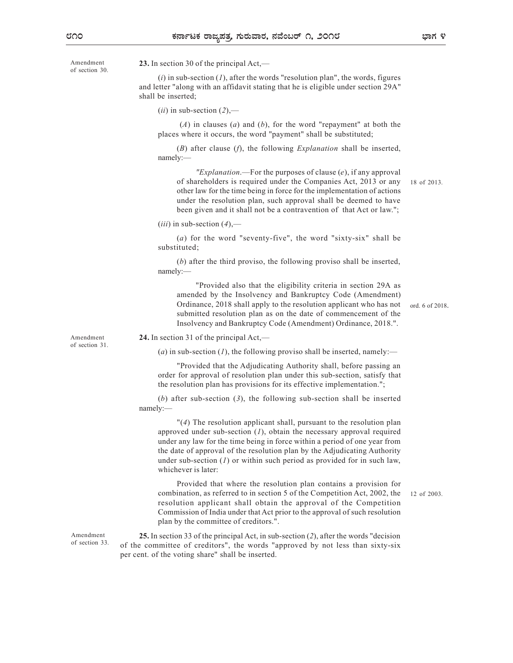of section 30.

Amendment **23.** In section 30 of the principal  $Act$ ,—

 $(i)$  in sub-section  $(I)$ , after the words "resolution plan", the words, figures and letter "along with an affidavit stating that he is eligible under section 29A" shall be inserted;

 $(ii)$  in sub-section  $(2)$ ,—

 $(A)$  in clauses  $(a)$  and  $(b)$ , for the word "repayment" at both the places where it occurs, the word "payment" shall be substituted;

 $(B)$  after clause  $(f)$ , the following *Explanation* shall be inserted, namely:—

"Explanation.—For the purposes of clause  $(e)$ , if any approval of shareholders is required under the Companies Act, 2013 or any other law for the time being in force for the implementation of actions under the resolution plan, such approval shall be deemed to have been given and it shall not be a contravention of that Act or law.";

 $(iii)$  in sub-section  $(4)$ ,—

(a) for the word "seventy-five", the word "sixty-six" shall be substituted;

(b) after the third proviso, the following proviso shall be inserted, namely:—

"Provided also that the eligibility criteria in section 29A as amended by the Insolvency and Bankruptcy Code (Amendment) Ordinance, 2018 shall apply to the resolution applicant who has not submitted resolution plan as on the date of commencement of the Insolvency and Bankruptcy Code (Amendment) Ordinance, 2018.".

ord. 6 of 2018.

18 of 2013.

12 of 2003.

of section 31.

Amendment 24. In section 31 of the principal Act,—

(a) in sub-section (1), the following proviso shall be inserted, namely:—

"Provided that the Adjudicating Authority shall, before passing an order for approval of resolution plan under this sub-section, satisfy that the resolution plan has provisions for its effective implementation.";

(b) after sub-section  $(3)$ , the following sub-section shall be inserted namely:—

"(4) The resolution applicant shall, pursuant to the resolution plan approved under sub-section  $(I)$ , obtain the necessary approval required under any law for the time being in force within a period of one year from the date of approval of the resolution plan by the Adjudicating Authority under sub-section  $(I)$  or within such period as provided for in such law, whichever is later:

Provided that where the resolution plan contains a provision for combination, as referred to in section 5 of the Competition Act, 2002, the resolution applicant shall obtain the approval of the Competition Commission of India under that Act prior to the approval of such resolution plan by the committee of creditors.".

Amendment 25. In section 33 of the principal Act, in sub-section (2), after the words "decision of section 33. of the committee of creditors", the words "approved by not less than sixty-six per cent. of the voting share" shall be inserted.

ಭಾಗ ೪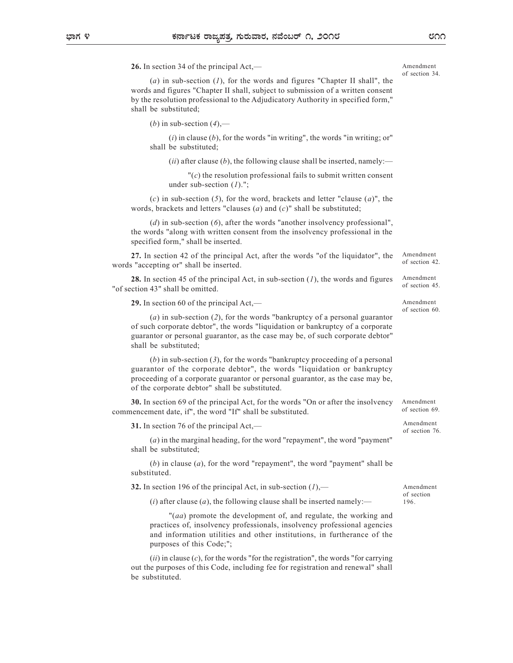26. In section 34 of the principal Act,—

(a) in sub-section  $(1)$ , for the words and figures "Chapter II shall", the words and figures "Chapter II shall, subject to submission of a written consent by the resolution professional to the Adjudicatory Authority in specified form," shall be substituted;

(*b*) in sub-section  $(4)$ ,—

 $(i)$  in clause  $(b)$ , for the words "in writing", the words "in writing; or" shall be substituted;

(*ii*) after clause (*b*), the following clause shall be inserted, namely:—

 $\Gamma(c)$  the resolution professional fails to submit written consent under sub-section  $(1)$ .";

(c) in sub-section (5), for the word, brackets and letter "clause  $(a)$ ", the words, brackets and letters "clauses  $(a)$  and  $(c)$ " shall be substituted;

(d) in sub-section  $(6)$ , after the words "another insolvency professional", the words "along with written consent from the insolvency professional in the specified form," shall be inserted.

27. In section 42 of the principal Act, after the words "of the liquidator", the words "accepting or" shall be inserted.

**28.** In section 45 of the principal Act, in sub-section  $(1)$ , the words and figures "of section 43" shall be omitted.

29. In section 60 of the principal Act,—

(a) in sub-section (2), for the words "bankruptcy of a personal guarantor of such corporate debtor", the words "liquidation or bankruptcy of a corporate guarantor or personal guarantor, as the case may be, of such corporate debtor" shall be substituted;

 $(b)$  in sub-section  $(3)$ , for the words "bankruptcy proceeding of a personal guarantor of the corporate debtor", the words "liquidation or bankruptcy proceeding of a corporate guarantor or personal guarantor, as the case may be, of the corporate debtor" shall be substituted.

30. In section 69 of the principal Act, for the words "On or after the insolvency commencement date, if", the word "If" shall be substituted.

31. In section 76 of the principal Act,—

(a) in the marginal heading, for the word "repayment", the word "payment" shall be substituted;

 $(b)$  in clause  $(a)$ , for the word "repayment", the word "payment" shall be substituted.

**32.** In section 196 of the principal Act, in sub-section  $(1)$ ,—

(*i*) after clause (*a*), the following clause shall be inserted namely:—

"(aa) promote the development of, and regulate, the working and practices of, insolvency professionals, insolvency professional agencies and information utilities and other institutions, in furtherance of the purposes of this Code;";

 $(ii)$  in clause  $(c)$ , for the words "for the registration", the words "for carrying out the purposes of this Code, including fee for registration and renewal" shall be substituted.

Amendment of section 69. Amendment of section 76.

Amendment of section 196.

೮೧೧

Amendment of section 34.

Amendment of section 60.

Amendment of section 42.

Amendment of section 45.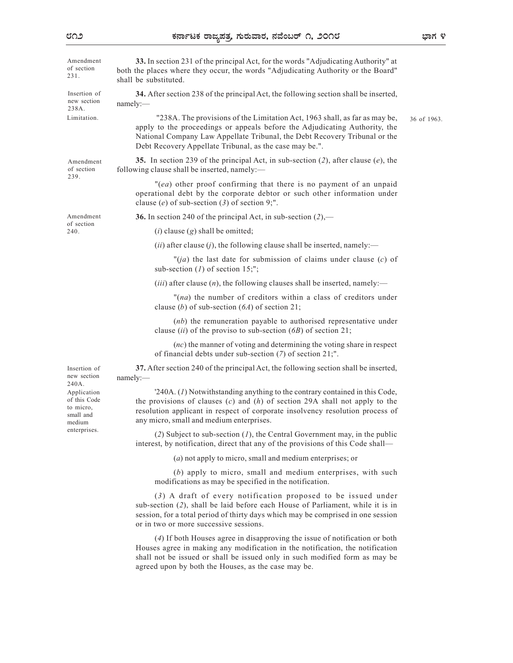| Amendment<br>of section<br>231.                                                 | 33. In section 231 of the principal Act, for the words "Adjudicating Authority" at<br>both the places where they occur, the words "Adjudicating Authority or the Board"<br>shall be substituted.                                                                                                  |             |
|---------------------------------------------------------------------------------|---------------------------------------------------------------------------------------------------------------------------------------------------------------------------------------------------------------------------------------------------------------------------------------------------|-------------|
| Insertion of<br>new section<br>238A.                                            | 34. After section 238 of the principal Act, the following section shall be inserted,<br>namely:                                                                                                                                                                                                   |             |
| Limitation.                                                                     | "238A. The provisions of the Limitation Act, 1963 shall, as far as may be,<br>apply to the proceedings or appeals before the Adjudicating Authority, the<br>National Company Law Appellate Tribunal, the Debt Recovery Tribunal or the<br>Debt Recovery Appellate Tribunal, as the case may be.". | 36 of 1963. |
| Amendment<br>of section<br>239.                                                 | 35. In section 239 of the principal Act, in sub-section (2), after clause (e), the<br>following clause shall be inserted, namely:-                                                                                                                                                                |             |
|                                                                                 | "(ea) other proof confirming that there is no payment of an unpaid<br>operational debt by the corporate debtor or such other information under<br>clause (e) of sub-section (3) of section 9;".                                                                                                   |             |
| Amendment<br>of section<br>240.                                                 | <b>36.</b> In section 240 of the principal Act, in sub-section $(2)$ ,—                                                                                                                                                                                                                           |             |
|                                                                                 | $(i)$ clause $(g)$ shall be omitted;                                                                                                                                                                                                                                                              |             |
|                                                                                 | $(ii)$ after clause $(j)$ , the following clause shall be inserted, namely:—                                                                                                                                                                                                                      |             |
|                                                                                 | "( <i>ja</i> ) the last date for submission of claims under clause ( <i>c</i> ) of<br>sub-section $(I)$ of section 15;";                                                                                                                                                                          |             |
|                                                                                 | ( <i>iii</i> ) after clause $(n)$ , the following clauses shall be inserted, namely:—                                                                                                                                                                                                             |             |
|                                                                                 | " $(na)$ the number of creditors within a class of creditors under<br>clause (b) of sub-section $(6A)$ of section 21;                                                                                                                                                                             |             |
|                                                                                 | $(nb)$ the remuneration payable to authorised representative under<br>clause (ii) of the proviso to sub-section $(6B)$ of section 21;                                                                                                                                                             |             |
|                                                                                 | $(nc)$ the manner of voting and determining the voting share in respect<br>of financial debts under sub-section $(7)$ of section 21;".                                                                                                                                                            |             |
| Insertion of<br>new section<br>240A.                                            | 37. After section 240 of the principal Act, the following section shall be inserted,<br>namely:                                                                                                                                                                                                   |             |
| Application<br>of this Code<br>to micro,<br>small and<br>medium<br>enterprises. | '240A. (1) Notwithstanding anything to the contrary contained in this Code,<br>the provisions of clauses $(c)$ and $(h)$ of section 29A shall not apply to the<br>resolution applicant in respect of corporate insolvency resolution process of<br>any micro, small and medium enterprises.       |             |
|                                                                                 | (2) Subject to sub-section $(I)$ , the Central Government may, in the public<br>interest, by notification, direct that any of the provisions of this Code shall—                                                                                                                                  |             |
|                                                                                 | (a) not apply to micro, small and medium enterprises; or                                                                                                                                                                                                                                          |             |
|                                                                                 | (b) apply to micro, small and medium enterprises, with such<br>modifications as may be specified in the notification.                                                                                                                                                                             |             |
|                                                                                 | (3) A draft of every notification proposed to be issued under<br>sub-section (2), shall be laid before each House of Parliament, while it is in<br>session, for a total period of thirty days which may be comprised in one session<br>or in two or more successive sessions.                     |             |
|                                                                                 | (4) If both Houses agree in disapproving the issue of notification or both<br>Houses agree in making any modification in the notification, the notification<br>shall not be issued or shall be issued only in such modified form as may be<br>agreed upon by both the Houses, as the case may be. |             |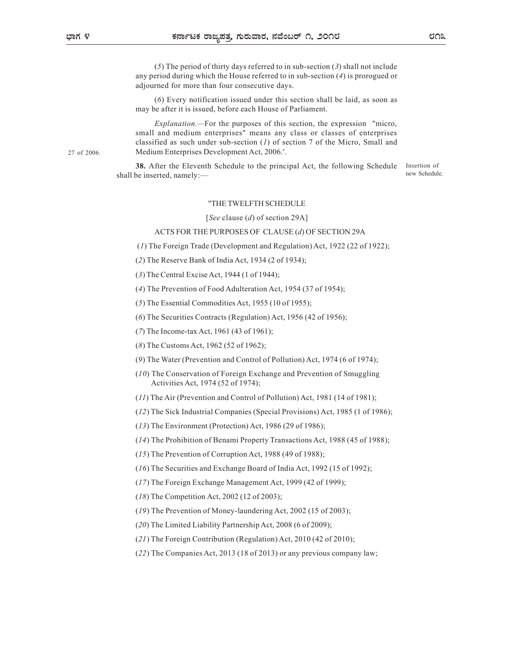27 of 2006.

(5) The period of thirty days referred to in sub-section (3) shall not include any period during which the House referred to in sub-section (4) is prorogued or adjourned for more than four consecutive days.

(6) Every notification issued under this section shall be laid, as soon as may be after it is issued, before each House of Parliament.

Explanation.—For the purposes of this section, the expression "micro, small and medium enterprises" means any class or classes of enterprises classified as such under sub-section  $(1)$  of section 7 of the Micro, Small and Medium Enterprises Development Act, 2006.'.

38. After the Eleventh Schedule to the principal Act, the following Schedule shall be inserted, namely:—

Insertion of new Schedule.

#### "THE TWELFTH SCHEDULE

[See clause (d) of section 29A]

#### ACTS FOR THE PURPOSES OF CLAUSE (d) OF SECTION 29A

(1) The Foreign Trade (Development and Regulation) Act, 1922 (22 of 1922);

- (2) The Reserve Bank of India Act, 1934 (2 of 1934);
- (3) The Central Excise Act, 1944 (1 of 1944);

(4) The Prevention of Food Adulteration Act, 1954 (37 of 1954);

(5) The Essential Commodities Act, 1955 (10 of 1955);

(6) The Securities Contracts (Regulation) Act, 1956 (42 of 1956);

- (7) The Income-tax Act, 1961 (43 of 1961);
- (8) The Customs Act, 1962 (52 of 1962);
- (9) The Water (Prevention and Control of Pollution) Act, 1974 (6 of 1974);
- (10) The Conservation of Foreign Exchange and Prevention of Smuggling Activities Act, 1974 (52 of 1974);
- (11) The Air (Prevention and Control of Pollution) Act, 1981 (14 of 1981);
- (12) The Sick Industrial Companies (Special Provisions) Act, 1985 (1 of 1986);
- (13) The Environment (Protection) Act, 1986 (29 of 1986);
- (14) The Prohibition of Benami Property Transactions Act, 1988 (45 of 1988);
- (15) The Prevention of Corruption Act, 1988 (49 of 1988);
- (16) The Securities and Exchange Board of India Act, 1992 (15 of 1992);
- (17) The Foreign Exchange Management Act, 1999 (42 of 1999);
- (18) The Competition Act, 2002 (12 of 2003);
- (19) The Prevention of Money-laundering Act, 2002 (15 of 2003);
- (20) The Limited Liability Partnership Act, 2008 (6 of 2009);
- (21) The Foreign Contribution (Regulation) Act, 2010 (42 of 2010);
- (22) The Companies Act, 2013 (18 of 2013) or any previous company law;